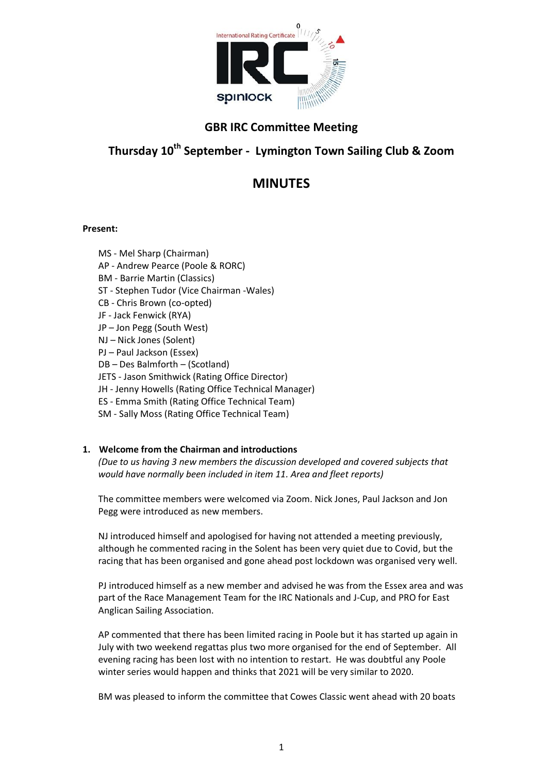

## **GBR IRC Committee Meeting**

# **Thursday 10th September - Lymington Town Sailing Club & Zoom**

# **MINUTES**

## **Present:**

MS - Mel Sharp (Chairman) AP - Andrew Pearce (Poole & RORC) BM - Barrie Martin (Classics) ST - Stephen Tudor (Vice Chairman -Wales) CB - Chris Brown (co-opted) JF - Jack Fenwick (RYA) JP – Jon Pegg (South West) NJ – Nick Jones (Solent) PJ – Paul Jackson (Essex) DB – Des Balmforth – (Scotland) JETS - Jason Smithwick (Rating Office Director) JH - Jenny Howells (Rating Office Technical Manager) ES - Emma Smith (Rating Office Technical Team) SM - Sally Moss (Rating Office Technical Team)

## **1. Welcome from the Chairman and introductions**

*(Due to us having 3 new members the discussion developed and covered subjects that would have normally been included in item 11. Area and fleet reports)*

The committee members were welcomed via Zoom. Nick Jones, Paul Jackson and Jon Pegg were introduced as new members.

NJ introduced himself and apologised for having not attended a meeting previously, although he commented racing in the Solent has been very quiet due to Covid, but the racing that has been organised and gone ahead post lockdown was organised very well.

PJ introduced himself as a new member and advised he was from the Essex area and was part of the Race Management Team for the IRC Nationals and J-Cup, and PRO for East Anglican Sailing Association.

AP commented that there has been limited racing in Poole but it has started up again in July with two weekend regattas plus two more organised for the end of September. All evening racing has been lost with no intention to restart. He was doubtful any Poole winter series would happen and thinks that 2021 will be very similar to 2020.

BM was pleased to inform the committee that Cowes Classic went ahead with 20 boats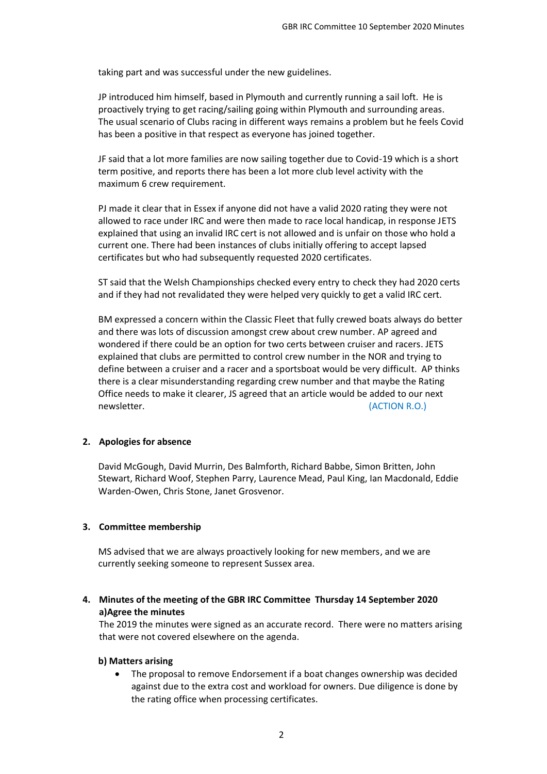taking part and was successful under the new guidelines.

JP introduced him himself, based in Plymouth and currently running a sail loft. He is proactively trying to get racing/sailing going within Plymouth and surrounding areas. The usual scenario of Clubs racing in different ways remains a problem but he feels Covid has been a positive in that respect as everyone has joined together.

JF said that a lot more families are now sailing together due to Covid-19 which is a short term positive, and reports there has been a lot more club level activity with the maximum 6 crew requirement.

PJ made it clear that in Essex if anyone did not have a valid 2020 rating they were not allowed to race under IRC and were then made to race local handicap, in response JETS explained that using an invalid IRC cert is not allowed and is unfair on those who hold a current one. There had been instances of clubs initially offering to accept lapsed certificates but who had subsequently requested 2020 certificates.

ST said that the Welsh Championships checked every entry to check they had 2020 certs and if they had not revalidated they were helped very quickly to get a valid IRC cert.

BM expressed a concern within the Classic Fleet that fully crewed boats always do better and there was lots of discussion amongst crew about crew number. AP agreed and wondered if there could be an option for two certs between cruiser and racers. JETS explained that clubs are permitted to control crew number in the NOR and trying to define between a cruiser and a racer and a sportsboat would be very difficult. AP thinks there is a clear misunderstanding regarding crew number and that maybe the Rating Office needs to make it clearer, JS agreed that an article would be added to our next newsletter. (ACTION R.O.)

## **2. Apologies for absence**

David McGough, David Murrin, Des Balmforth, Richard Babbe, Simon Britten, John Stewart, Richard Woof, Stephen Parry, Laurence Mead, Paul King, Ian Macdonald, Eddie Warden-Owen, Chris Stone, Janet Grosvenor.

## **3. Committee membership**

MS advised that we are always proactively looking for new members, and we are currently seeking someone to represent Sussex area.

**4. Minutes of the meeting of the GBR IRC Committee Thursday 14 September 2020 a)Agree the minutes**

The 2019 the minutes were signed as an accurate record. There were no matters arising that were not covered elsewhere on the agenda.

## **b) Matters arising**

 The proposal to remove Endorsement if a boat changes ownership was decided against due to the extra cost and workload for owners. Due diligence is done by the rating office when processing certificates.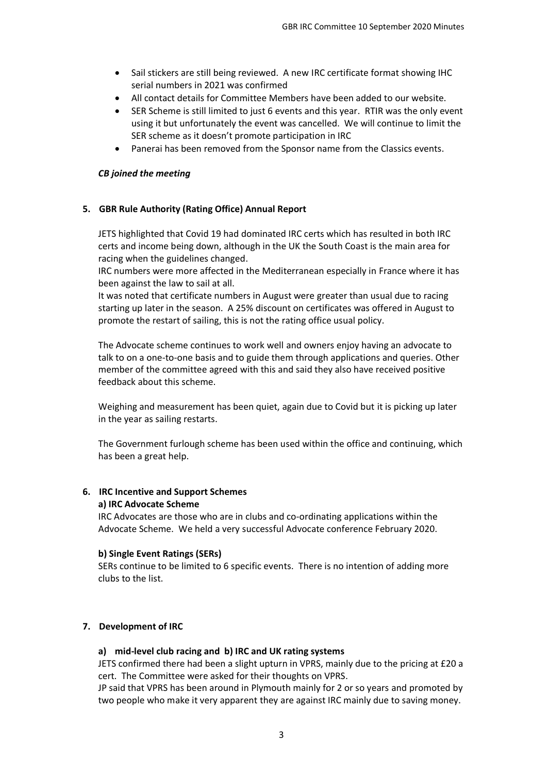- Sail stickers are still being reviewed. A new IRC certificate format showing IHC serial numbers in 2021 was confirmed
- All contact details for Committee Members have been added to our website.
- SER Scheme is still limited to just 6 events and this year. RTIR was the only event using it but unfortunately the event was cancelled. We will continue to limit the SER scheme as it doesn't promote participation in IRC
- Panerai has been removed from the Sponsor name from the Classics events.

## *CB joined the meeting*

## **5. GBR Rule Authority (Rating Office) Annual Report**

JETS highlighted that Covid 19 had dominated IRC certs which has resulted in both IRC certs and income being down, although in the UK the South Coast is the main area for racing when the guidelines changed.

IRC numbers were more affected in the Mediterranean especially in France where it has been against the law to sail at all.

It was noted that certificate numbers in August were greater than usual due to racing starting up later in the season. A 25% discount on certificates was offered in August to promote the restart of sailing, this is not the rating office usual policy.

The Advocate scheme continues to work well and owners enjoy having an advocate to talk to on a one-to-one basis and to guide them through applications and queries. Other member of the committee agreed with this and said they also have received positive feedback about this scheme.

Weighing and measurement has been quiet, again due to Covid but it is picking up later in the year as sailing restarts.

The Government furlough scheme has been used within the office and continuing, which has been a great help.

#### **6. IRC Incentive and Support Schemes a) IRC Advocate Scheme**

IRC Advocates are those who are in clubs and co-ordinating applications within the Advocate Scheme. We held a very successful Advocate conference February 2020.

## **b) Single Event Ratings (SERs)**

SERs continue to be limited to 6 specific events. There is no intention of adding more clubs to the list.

## **7. Development of IRC**

## **a) mid-level club racing and b) IRC and UK rating systems**

JETS confirmed there had been a slight upturn in VPRS, mainly due to the pricing at £20 a cert. The Committee were asked for their thoughts on VPRS.

JP said that VPRS has been around in Plymouth mainly for 2 or so years and promoted by two people who make it very apparent they are against IRC mainly due to saving money.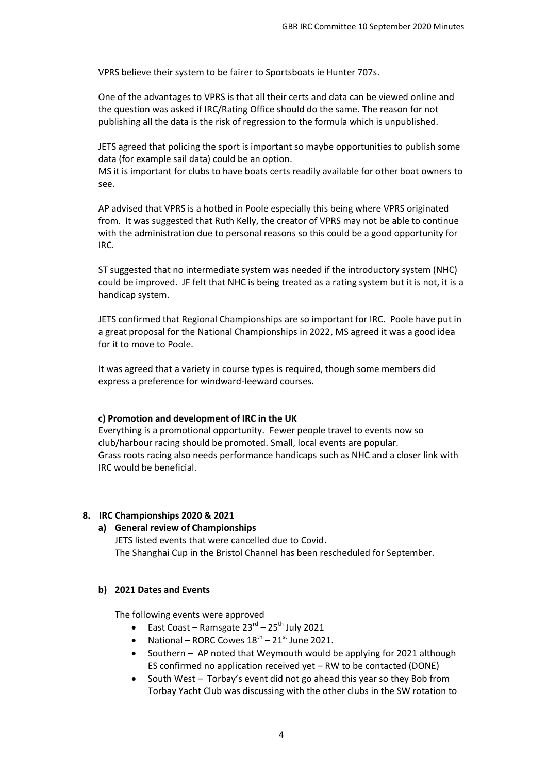VPRS believe their system to be fairer to Sportsboats ie Hunter 707s.

One of the advantages to VPRS is that all their certs and data can be viewed online and the question was asked if IRC/Rating Office should do the same. The reason for not publishing all the data is the risk of regression to the formula which is unpublished.

JETS agreed that policing the sport is important so maybe opportunities to publish some data (for example sail data) could be an option.

MS it is important for clubs to have boats certs readily available for other boat owners to see.

AP advised that VPRS is a hotbed in Poole especially this being where VPRS originated from. It was suggested that Ruth Kelly, the creator of VPRS may not be able to continue with the administration due to personal reasons so this could be a good opportunity for IRC.

ST suggested that no intermediate system was needed if the introductory system (NHC) could be improved. JF felt that NHC is being treated as a rating system but it is not, it is a handicap system.

JETS confirmed that Regional Championships are so important for IRC. Poole have put in a great proposal for the National Championships in 2022, MS agreed it was a good idea for it to move to Poole.

It was agreed that a variety in course types is required, though some members did express a preference for windward-leeward courses.

## **c) Promotion and development of IRC in the UK**

Everything is a promotional opportunity. Fewer people travel to events now so club/harbour racing should be promoted. Small, local events are popular. Grass roots racing also needs performance handicaps such as NHC and a closer link with IRC would be beneficial.

#### **8. IRC Championships 2020 & 2021**

#### **a) General review of Championships**

JETS listed events that were cancelled due to Covid. The Shanghai Cup in the Bristol Channel has been rescheduled for September.

#### **b) 2021 Dates and Events**

The following events were approved

- East Coast Ramsgate  $23^{\text{rd}}$   $25^{\text{th}}$  July 2021
- National RORC Cowes  $18<sup>th</sup> 21<sup>st</sup>$  June 2021.
- Southern AP noted that Weymouth would be applying for 2021 although ES confirmed no application received yet – RW to be contacted (DONE)
- South West Torbay's event did not go ahead this year so they Bob from Torbay Yacht Club was discussing with the other clubs in the SW rotation to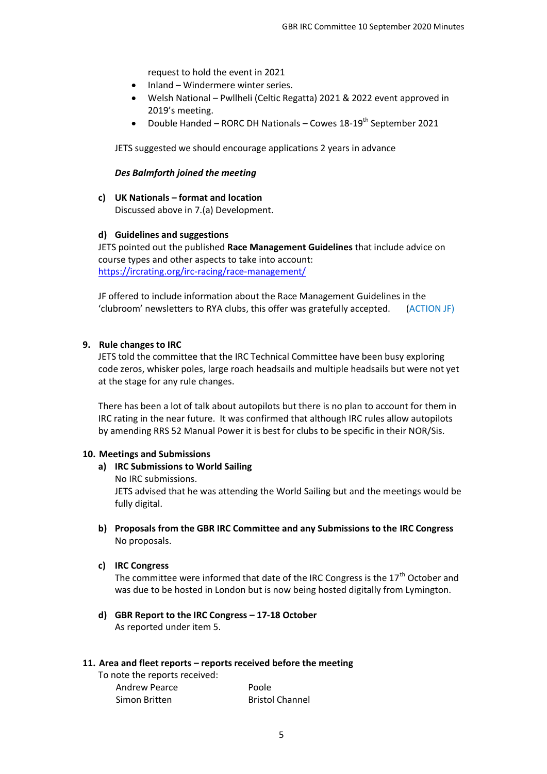request to hold the event in 2021

- Inland Windermere winter series.
- Welsh National Pwllheli (Celtic Regatta) 2021 & 2022 event approved in 2019's meeting.
- Double Handed RORC DH Nationals Cowes  $18-19^{th}$  September 2021

JETS suggested we should encourage applications 2 years in advance

#### *Des Balmforth joined the meeting*

**c) UK Nationals – format and location** Discussed above in 7.(a) Development.

#### **d) Guidelines and suggestions**

JETS pointed out the published **Race Management Guidelines** that include advice on course types and other aspects to take into account: <https://ircrating.org/irc-racing/race-management/>

JF offered to include information about the Race Management Guidelines in the 'clubroom' newsletters to RYA clubs, this offer was gratefully accepted. (ACTION JF)

#### **9. Rule changes to IRC**

JETS told the committee that the IRC Technical Committee have been busy exploring code zeros, whisker poles, large roach headsails and multiple headsails but were not yet at the stage for any rule changes.

There has been a lot of talk about autopilots but there is no plan to account for them in IRC rating in the near future. It was confirmed that although IRC rules allow autopilots by amending RRS 52 Manual Power it is best for clubs to be specific in their NOR/Sis.

#### **10. Meetings and Submissions**

- **a) IRC Submissions to World Sailing** No IRC submissions. JETS advised that he was attending the World Sailing but and the meetings would be fully digital.
- **b) Proposals from the GBR IRC Committee and any Submissions to the IRC Congress** No proposals.
- **c) IRC Congress**

The committee were informed that date of the IRC Congress is the  $17<sup>th</sup>$  October and was due to be hosted in London but is now being hosted digitally from Lymington.

**d) GBR Report to the IRC Congress – 17-18 October**  As reported under item 5.

#### **11. Area and fleet reports – reports received before the meeting**

To note the reports received: Andrew Pearce Poole Simon Britten Bristol Channel